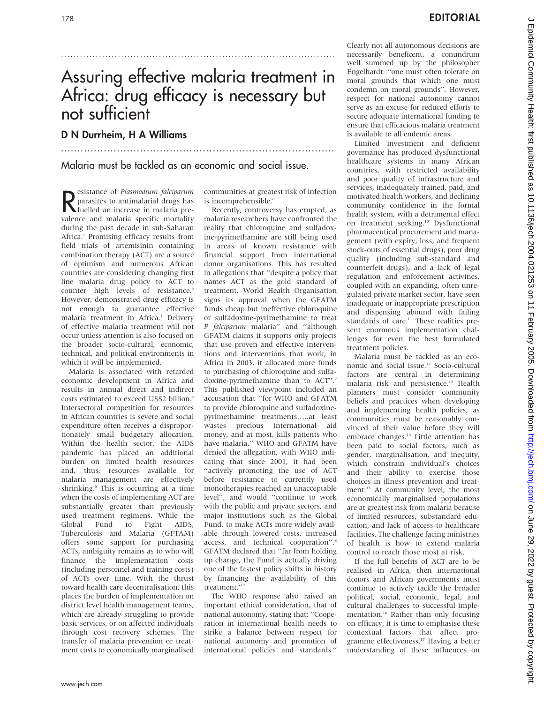# Assuring effective malaria treatment in Africa: drug efficacy is necessary but not sufficient

...................................................................................

.......................................................................................

## D N Durrheim, H A Williams

Malaria must be tackled as an economic and social issue.

Resistance of *Plasmodium falciparum*<br>
parasites to antimalarial drugs has<br>
fuelled an increase in malaria preparasites to antimalarial drugs has fuelled an increase in malaria prevalence and malaria specific mortality during the past decade in sub-Saharan Africa.<sup>1</sup> Promising efficacy results from field trials of artemisinin containing combination therapy (ACT) are a source of optimism and numerous African countries are considering changing first line malaria drug policy to ACT to counter high levels of resistance.<sup>2</sup> However, demonstrated drug efficacy is not enough to guarantee effective malaria treatment in Africa.<sup>3</sup> Delivery of effective malaria treatment will not occur unless attention is also focused on the broader socio-cultural, economic, technical, and political environments in which it will be implemented.

Malaria is associated with retarded economic development in Africa and results in annual direct and indirect costs estimated to exceed US\$2 billion.4 Intersectoral competition for resources in African countries is severe and social expenditure often receives a disproportionately small budgetary allocation. Within the health sector, the AIDS pandemic has placed an additional burden on limited health resources and, thus, resources available for malaria management are effectively shrinking.<sup>5</sup> This is occurring at a time when the costs of implementing ACT are substantially greater than previously used treatment regimens. While the Global Fund to Fight AIDS, Tuberculosis and Malaria (GFTAM) offers some support for purchasing ACTs, ambiguity remains as to who will finance the implementation costs (including personnel and training costs) of ACTs over time. With the thrust toward health care decentralisation, this places the burden of implementation on district level health management teams, which are already struggling to provide basic services, or on affected individuals through cost recovery schemes. The transfer of malaria prevention or treatment costs to economically marginalised

communities at greatest risk of infection is incomprehensible.<sup>6</sup>

Recently, controversy has erupted, as malaria researchers have confronted the reality that chloroquine and sulfadoxine-pyrimethamine are still being used in areas of known resistance with financial support from international donor organisations. This has resulted in allegations that ''despite a policy that names ACT as the gold standard of treatment, World Health Organisation signs its approval when the GFATM funds cheap but ineffective chloroquine or sulfadoxine-pyrimethamine to treat P falciparum malaria'' and ''although GFATM claims it supports only projects that use proven and effective interventions and interventions that work, in Africa in 2003, it allocated more funds to purchasing of chloroquine and sulfadoxine-pyrimethamine than to ACT".7 This published viewpoint included an accusation that ''for WHO and GFATM to provide chloroquine and sulfadoxinepyrimethamine treatments…..at least wastes precious international aid money, and at most, kills patients who have malaria.'' WHO and GFATM have denied the allegation, with WHO indicating that since 2001, it had been ''actively promoting the use of ACT before resistance to currently used monotherapies reached an unacceptable level'', and would ''continue to work with the public and private sectors, and major institutions such as the Global Fund, to make ACTs more widely available through lowered costs, increased access, and technical cooperation''.8 GFATM declared that ''far from holding up change, the Fund is actually driving one of the fastest policy shifts in history by financing the availability of this treatment.''9

The WHO response also raised an important ethical consideration, that of national autonomy, stating that: ''Cooperation in international health needs to strike a balance between respect for national autonomy and promotion of international policies and standards.''

Clearly not all autonomous decisions are necessarily beneficent, a conundrum well summed up by the philosopher Engelhardt: ''one must often tolerate on moral grounds that which one must condemn on moral grounds''. However, respect for national autonomy cannot serve as an excuse for reduced efforts to secure adequate international funding to ensure that efficacious malaria treatment is available to all endemic areas.

Limited investment and deficient governance has produced dysfunctional healthcare systems in many African countries, with restricted availability and poor quality of infrastructure and services, inadequately trained, paid, and motivated health workers, and declining community confidence in the formal health system, with a detrimental effect on treatment seeking.<sup>10</sup> Dysfunctional pharmaceutical procurement and management (with expiry, loss, and frequent stock-outs of essential drugs), poor drug quality (including sub-standard and counterfeit drugs), and a lack of legal regulation and enforcement activities, coupled with an expanding, often unregulated private market sector, have seen inadequate or inappropriate prescription and dispensing abound with failing standards of care.<sup>11</sup> These realities present enormous implementation challenges for even the best formulated treatment policies.

Malaria must be tackled as an economic and social issue.12 Socio-cultural factors are central in determining malaria risk and persistence.<sup>13</sup> Health planners must consider community beliefs and practices when developing and implementing health policies, as communities must be reasonably convinced of their value before they will embrace changes.14 Little attention has been paid to social factors, such as gender, marginalisation, and inequity, which constrain individual's choices and their ability to exercise those choices in illness prevention and treatment.<sup>15</sup> At community level, the most economically marginalised populations are at greatest risk from malaria because of limited resources, substandard education, and lack of access to healthcare facilities. The challenge facing ministries of health is how to extend malaria control to reach those most at risk.

If the full benefits of ACT are to be realised in Africa, then international donors and African governments must continue to actively tackle the broader political, social, economic, legal, and cultural challenges to successful implementation.<sup>16</sup> Rather than only focusing on efficacy, it is time to emphasise these contextual factors that affect programme effectiveness.17 Having a better understanding of these influences on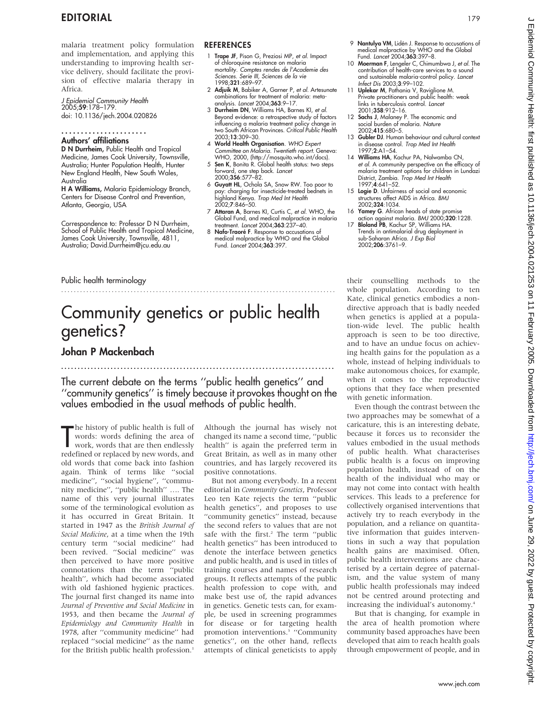malaria treatment policy formulation and implementation, and applying this understanding to improving health service delivery, should facilitate the provision of effective malaria therapy in Africa.

J Epidemiol Community Health 2005;59:178–179. doi: 10.1136/jech.2004.020826

#### Authors' affiliations ......................

D N Durrheim, Public Health and Tropical Medicine, James Cook University, Townsville, Australia; Hunter Population Health, Hunter New England Health, New South Wales, Australia

H A Williams, Malaria Epidemiology Branch, Centers for Disease Control and Prevention, Atlanta, Georgia, USA

Correspondence to: Professor D N Durrheim, School of Public Health and Tropical Medicine, James Cook University, Townsville, 4811, Australia; David.Durrheim@jcu.edu.au

### **REFERENCES**

- 1 Trape JF, Pison G, Preziosi MP, et al. Impact of chloroquine resistance on malaria mortality. Comptes rendes de l'Academie des Sciences. Serie III, Sciences de la vie 1998;321:689–97.
- 2 Adjuik M, Babiker A, Garner P, et al. Artesunate combinations for treatment of malaria: metaanalysis. Lancet 2004;363:9–17.
- 3 Durrheim DN, Williams HA, Barnes KI, et al. Beyond evidence: a retrospective study of factors influencing a malaria treatment policy change in two South African Provinces. Critical Public Health 2003;13:309–30.
- 4 World Health Organisation. WHO Expert Committee on Malaria. Twentieth report. Geneva: WHO, 2000, (http://mosquito.who.int/docs).
- Sen K, Bonita R. Global health status: two steps forward, one step back. Lancet 2000;356:577–82.
- 6 Guyatt HL, Ochola SA, Snow RW. Too poor to pay: charging for insecticide-treated bednets in highland Kenya. Trop Med Int Health 2002;7:846–50.
- 7 Attaran A, Barnes KI, Curtis C, et al. WHO, the Global Fund, and medical malpractice in malaria treatment. Lancet 2004;363:237–40.
- 8 Nafo-Traoré F. Response to accusations of medical malpractice by WHO and the Global Fund. Lancet 2004;363:397.
- 9 **Nantulya VM**, Lidén J. Response to accusations of medical malpractice by WHO and the Global Fund. Lancet 2004;363:397–8.
- 10 Moerman F, Lengeler C, Chimumbwa J, et al. The contribution of health-care services to a sound and sustainable malaria-control policy. Lancet Infect Dis 2003;3:99–102.
- 11 Uplekar M, Pathania V, Raviglione M. Private practitioners and public health: weak links in tuberculosis control. Lancet 2001;358:912–16.
- 12 Sachs J, Malaney P. The economic and<br>social burden of malaria. Nature 2002;415:680–5.
- 13 Gubler DJ. Human behaviour and cultural context in disease control. Trop Med Int Health 1997;2:A1–54.
- 14 Williams HA, Kachur PA, Nalwamba CN, et al. A community perspective on the efficacy of malaria treatment options for children in Lundazi District, Zambia. Trop Med Int Health 1997;4:641–52.
- 15 Logie D. Unfairness of social and economic structures affect AIDS in Africa. BMJ 2002;324:1034.
- 16 Yamey G. African heads of state promise action against malaria. BMJ 2000;320:1228.
- 17 Bloland PB, Kachur SP, Williams HA. Trends in antimalarial drug deployment in sub-Saharan Africa. J Exp Biol 2002;206:3761–9.

### Public health terminology .......................................................................................

# Community genetics or public health

## genetics? Johan P Mackenbach

The current debate on the terms ''public health genetics'' and ''community genetics'' is timely because it provokes thought on the values embodied in the usual methods of public health.

...................................................................................

The history of public health is full of<br>words: words defining the area of<br>work, words that are then endlessly<br>redefined or replaced by new words, and he history of public health is full of words: words defining the area of work, words that are then endlessly old words that come back into fashion again. Think of terms like ''social medicine'', ''social hygiene'', ''community medicine'', ''public health'' …. The name of this very journal illustrates some of the terminological evolution as it has occurred in Great Britain. It started in 1947 as the British Journal of Social Medicine, at a time when the 19th century term ''social medicine'' had been revived. ''Social medicine'' was then perceived to have more positive connotations than the term ''public health'', which had become associated with old fashioned hygienic practices. The journal first changed its name into Journal of Preventive and Social Medicine in 1953, and then became the Journal of Epidemiology and Community Health in 1978, after ''community medicine'' had replaced ''social medicine'' as the name for the British public health profession.<sup>1</sup>

Although the journal has wisely not changed its name a second time, ''public health'' is again the preferred term in Great Britain, as well as in many other countries, and has largely recovered its positive connotations.

But not among everybody. In a recent editorial in Community Genetics, Professor Leo ten Kate rejects the term ''public health genetics'', and proposes to use ''community genetics'' instead, because the second refers to values that are not safe with the first.<sup>2</sup> The term "public health genetics'' has been introduced to denote the interface between genetics and public health, and is used in titles of training courses and names of research groups. It reflects attempts of the public health profession to cope with, and make best use of, the rapid advances in genetics. Genetic tests can, for example, be used in screening programmes for disease or for targeting health promotion interventions.3 ''Community genetics'', on the other hand, reflects attempts of clinical geneticists to apply

their counselling methods to the whole population. According to ten Kate, clinical genetics embodies a nondirective approach that is badly needed when genetics is applied at a population-wide level. The public health approach is seen to be too directive, and to have an undue focus on achieving health gains for the population as a whole, instead of helping individuals to make autonomous choices, for example, when it comes to the reproductive options that they face when presented with genetic information.

Even though the contrast between the two approaches may be somewhat of a caricature, this is an interesting debate, because it forces us to reconsider the values embodied in the usual methods of public health. What characterises public health is a focus on improving population health, instead of on the health of the individual who may or may not come into contact with health services. This leads to a preference for collectively organised interventions that actively try to reach everybody in the population, and a reliance on quantitative information that guides interventions in such a way that population health gains are maximised. Often, public health interventions are characterised by a certain degree of paternalism, and the value system of many public health professionals may indeed not be centred around protecting and increasing the individual's autonomy.4

But that is changing, for example in the area of health promotion where community based approaches have been developed that aim to reach health goals through empowerment of people, and in